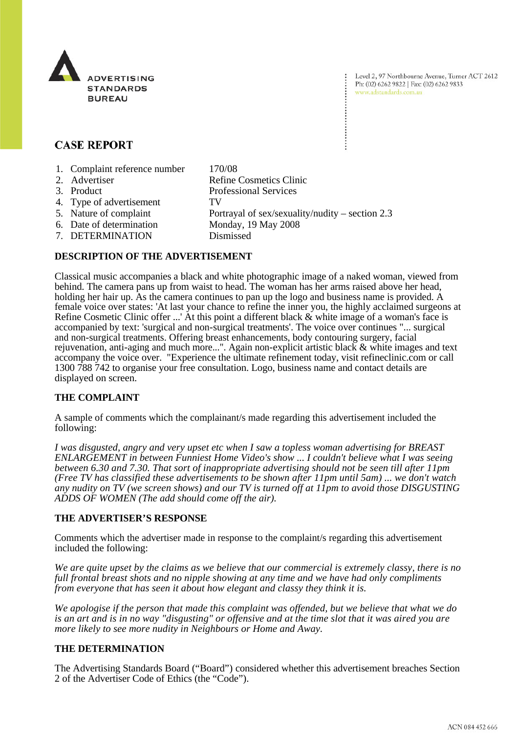

Level 2, 97 Northbourne Avenue, Turner ACT 2612 Ph: (02) 6262 9822 | Fax: (02) 6262 9833 www.adstandards.com.au

# **CASE REPORT**

- 1. Complaint reference number 170/08
- 2. Advertiser Refine Cosmetics Clinic 3. Product Professional Services 4. Type of advertisement TV 5. Nature of complaint Portrayal of sex/sexuality/nudity – section 2.3 6. Date of determination Monday, 19 May 2008 7. DETERMINATION Dismissed

#### **DESCRIPTION OF THE ADVERTISEMENT**

Classical music accompanies a black and white photographic image of a naked woman, viewed from behind. The camera pans up from waist to head. The woman has her arms raised above her head, holding her hair up. As the camera continues to pan up the logo and business name is provided. A female voice over states: 'At last your chance to refine the inner you, the highly acclaimed surgeons at Refine Cosmetic Clinic offer ...' At this point a different black  $\&$  white image of a woman's face is accompanied by text: 'surgical and non-surgical treatments'. The voice over continues "... surgical and non-surgical treatments. Offering breast enhancements, body contouring surgery, facial rejuvenation, anti-aging and much more...". Again non-explicit artistic black & white images and text accompany the voice over. "Experience the ultimate refinement today, visit refineclinic.com or call 1300 788 742 to organise your free consultation. Logo, business name and contact details are displayed on screen.

## **THE COMPLAINT**

A sample of comments which the complainant/s made regarding this advertisement included the following:

*I was disgusted, angry and very upset etc when I saw a topless woman advertising for BREAST ENLARGEMENT in between Funniest Home Video's show ... I couldn't believe what I was seeing between 6.30 and 7.30. That sort of inappropriate advertising should not be seen till after 11pm (Free TV has classified these advertisements to be shown after 11pm until 5am) ... we don't watch any nudity on TV (we screen shows) and our TV is turned off at 11pm to avoid those DISGUSTING ADDS OF WOMEN (The add should come off the air).*

#### **THE ADVERTISER'S RESPONSE**

Comments which the advertiser made in response to the complaint/s regarding this advertisement included the following:

*We are quite upset by the claims as we believe that our commercial is extremely classy, there is no full frontal breast shots and no nipple showing at any time and we have had only compliments from everyone that has seen it about how elegant and classy they think it is.*

*We apologise if the person that made this complaint was offended, but we believe that what we do is an art and is in no way "disgusting" or offensive and at the time slot that it was aired you are more likely to see more nudity in Neighbours or Home and Away.*

## **THE DETERMINATION**

The Advertising Standards Board ("Board") considered whether this advertisement breaches Section 2 of the Advertiser Code of Ethics (the "Code").